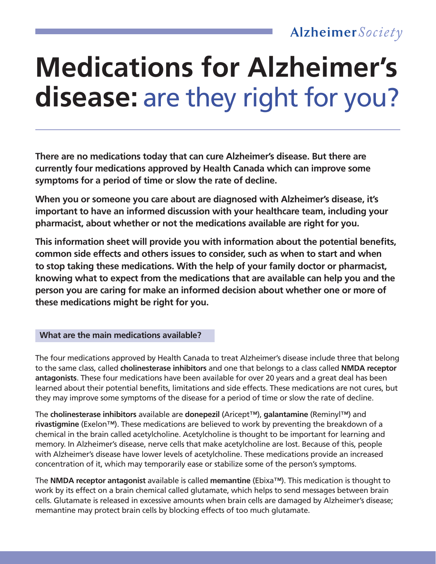# **Medications for Alzheimer's disease:** are they right for you?

**There are no medications today that can cure Alzheimer's disease. But there are currently four medications approved by Health Canada which can improve some symptoms for a period of time or slow the rate of decline.** 

**When you or someone you care about are diagnosed with Alzheimer's disease, it's important to have an informed discussion with your healthcare team, including your pharmacist, about whether or not the medications available are right for you.** 

**This information sheet will provide you with information about the potential benefits, common side effects and others issues to consider, such as when to start and when to stop taking these medications. With the help of your family doctor or pharmacist, knowing what to expect from the medications that are available can help you and the person you are caring for make an informed decision about whether one or more of these medications might be right for you.**

 **What are the main medications available?**

The four medications approved by Health Canada to treat Alzheimer's disease include three that belong to the same class, called **cholinesterase inhibitors** and one that belongs to a class called **NMDA receptor antagonists**. These four medications have been available for over 20 years and a great deal has been learned about their potential benefits, limitations and side effects. These medications are not cures, but they may improve some symptoms of the disease for a period of time or slow the rate of decline.

The **cholinesterase inhibitors** available are **donepezil** (Aricept™), **galantamine** (Reminyl™) and **rivastigmine** (Exelon™). These medications are believed to work by preventing the breakdown of a chemical in the brain called acetylcholine. Acetylcholine is thought to be important for learning and memory. In Alzheimer's disease, nerve cells that make acetylcholine are lost. Because of this, people with Alzheimer's disease have lower levels of acetylcholine. These medications provide an increased concentration of it, which may temporarily ease or stabilize some of the person's symptoms.

The **NMDA receptor antagonist** available is called **memantine** (Ebixa™). This medication is thought to work by its effect on a brain chemical called glutamate, which helps to send messages between brain cells. Glutamate is released in excessive amounts when brain cells are damaged by Alzheimer's disease; memantine may protect brain cells by blocking effects of too much glutamate.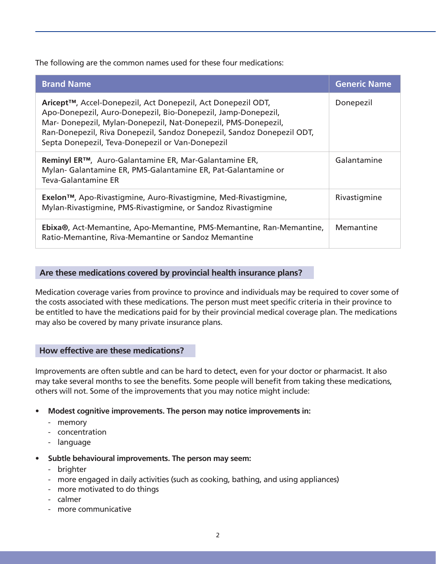The following are the common names used for these four medications:

| <b>Brand Name</b>                                                                                                                                                                                                                                                                                                            | <b>Generic Name</b> |
|------------------------------------------------------------------------------------------------------------------------------------------------------------------------------------------------------------------------------------------------------------------------------------------------------------------------------|---------------------|
| Aricept™, Accel-Donepezil, Act Donepezil, Act Donepezil ODT,<br>Apo-Donepezil, Auro-Donepezil, Bio-Donepezil, Jamp-Donepezil,<br>Mar-Donepezil, Mylan-Donepezil, Nat-Donepezil, PMS-Donepezil,<br>Ran-Donepezil, Riva Donepezil, Sandoz Donepezil, Sandoz Donepezil ODT,<br>Septa Donepezil, Teva-Donepezil or Van-Donepezil | Donepezil           |
| Reminyl ER™, Auro-Galantamine ER, Mar-Galantamine ER,<br>Mylan- Galantamine ER, PMS-Galantamine ER, Pat-Galantamine or<br>Teva-Galantamine ER                                                                                                                                                                                | Galantamine         |
| Exelon <sup>™</sup> , Apo-Rivastigmine, Auro-Rivastigmine, Med-Rivastigmine,<br>Mylan-Rivastigmine, PMS-Rivastigmine, or Sandoz Rivastigmine                                                                                                                                                                                 | Rivastigmine        |
| Ebixa®, Act-Memantine, Apo-Memantine, PMS-Memantine, Ran-Memantine,<br>Ratio-Memantine, Riva-Memantine or Sandoz Memantine                                                                                                                                                                                                   | Memantine           |

# **Are these medications covered by provincial health insurance plans?**

Medication coverage varies from province to province and individuals may be required to cover some of the costs associated with these medications. The person must meet specific criteria in their province to be entitled to have the medications paid for by their provincial medical coverage plan. The medications may also be covered by many private insurance plans.

#### **How effective are these medications?**

Improvements are often subtle and can be hard to detect, even for your doctor or pharmacist. It also may take several months to see the benefits. Some people will benefit from taking these medications, others will not. Some of the improvements that you may notice might include:

- **• Modest cognitive improvements. The person may notice improvements in:**
	- memory
	- concentration
	- language
- **• Subtle behavioural improvements. The person may seem:**
	- brighter
	- more engaged in daily activities (such as cooking, bathing, and using appliances)
	- more motivated to do things
	- calmer
	- more communicative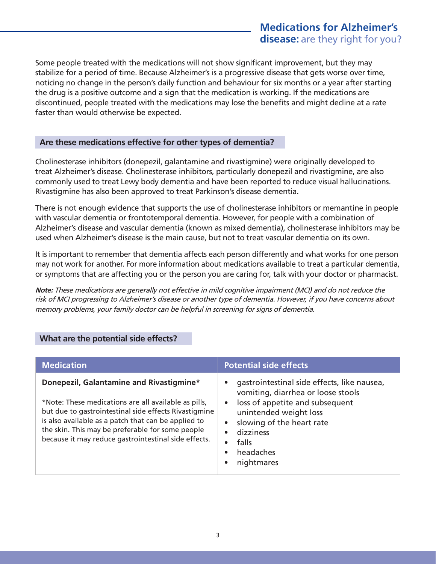Some people treated with the medications will not show significant improvement, but they may stabilize for a period of time. Because Alzheimer's is a progressive disease that gets worse over time, noticing no change in the person's daily function and behaviour for six months or a year after starting the drug is a positive outcome and a sign that the medication is working. If the medications are discontinued, people treated with the medications may lose the benefits and might decline at a rate faster than would otherwise be expected.

# **Are these medications effective for other types of dementia?**

Cholinesterase inhibitors (donepezil, galantamine and rivastigmine) were originally developed to treat Alzheimer's disease. Cholinesterase inhibitors, particularly donepezil and rivastigmine, are also commonly used to treat Lewy body dementia and have been reported to reduce visual hallucinations. Rivastigmine has also been approved to treat Parkinson's disease dementia.

There is not enough evidence that supports the use of cholinesterase inhibitors or memantine in people with vascular dementia or frontotemporal dementia. However, for people with a combination of Alzheimer's disease and vascular dementia (known as mixed dementia), cholinesterase inhibitors may be used when Alzheimer's disease is the main cause, but not to treat vascular dementia on its own.

It is important to remember that dementia affects each person differently and what works for one person may not work for another. For more information about medications available to treat a particular dementia, or symptoms that are affecting you or the person you are caring for, talk with your doctor or pharmacist.

**Note:** These medications are generally not effective in mild cognitive impairment (MCI) and do not reduce the risk of MCI progressing to Alzheimer's disease or another type of dementia. However, if you have concerns about memory problems, your family doctor can be helpful in screening for signs of dementia.

| <b>Medication</b>                                                                                                                                                                                                                                                                                                            | <b>Potential side effects</b>                                                                                                                                                                                                                                                                                           |
|------------------------------------------------------------------------------------------------------------------------------------------------------------------------------------------------------------------------------------------------------------------------------------------------------------------------------|-------------------------------------------------------------------------------------------------------------------------------------------------------------------------------------------------------------------------------------------------------------------------------------------------------------------------|
| Donepezil, Galantamine and Rivastigmine*<br>*Note: These medications are all available as pills,<br>but due to gastrointestinal side effects Rivastigmine<br>is also available as a patch that can be applied to<br>the skin. This may be preferable for some people<br>because it may reduce gastrointestinal side effects. | gastrointestinal side effects, like nausea,<br>$\bullet$<br>vomiting, diarrhea or loose stools<br>loss of appetite and subsequent<br>$\bullet$<br>unintended weight loss<br>slowing of the heart rate<br>$\bullet$<br>dizziness<br>$\bullet$<br>falls<br>$\bullet$<br>headaches<br>$\bullet$<br>nightmares<br>$\bullet$ |

# **What are the potential side effects?**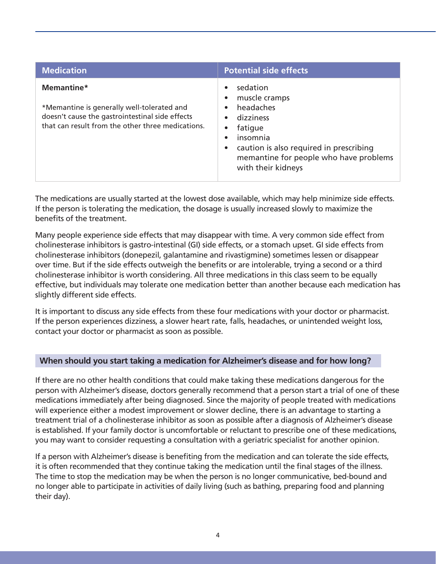| <b>Medication</b>                                                                                                                                                | <b>Potential side effects</b>                                                                                                                                                         |
|------------------------------------------------------------------------------------------------------------------------------------------------------------------|---------------------------------------------------------------------------------------------------------------------------------------------------------------------------------------|
| Memantine*<br>*Memantine is generally well-tolerated and<br>doesn't cause the gastrointestinal side effects<br>that can result from the other three medications. | sedation<br>muscle cramps<br>headaches<br>dizziness<br>fatique<br>insomnia<br>caution is also required in prescribing<br>memantine for people who have problems<br>with their kidneys |

The medications are usually started at the lowest dose available, which may help minimize side effects. If the person is tolerating the medication, the dosage is usually increased slowly to maximize the benefits of the treatment.

Many people experience side effects that may disappear with time. A very common side effect from cholinesterase inhibitors is gastro-intestinal (GI) side effects, or a stomach upset. GI side effects from cholinesterase inhibitors (donepezil, galantamine and rivastigmine) sometimes lessen or disappear over time. But if the side effects outweigh the benefits or are intolerable, trying a second or a third cholinesterase inhibitor is worth considering. All three medications in this class seem to be equally effective, but individuals may tolerate one medication better than another because each medication has slightly different side effects.

It is important to discuss any side effects from these four medications with your doctor or pharmacist. If the person experiences dizziness, a slower heart rate, falls, headaches, or unintended weight loss, contact your doctor or pharmacist as soon as possible.

# **When should you start taking a medication for Alzheimer's disease and for how long?**

If there are no other health conditions that could make taking these medications dangerous for the person with Alzheimer's disease, doctors generally recommend that a person start a trial of one of these medications immediately after being diagnosed. Since the majority of people treated with medications will experience either a modest improvement or slower decline, there is an advantage to starting a treatment trial of a cholinesterase inhibitor as soon as possible after a diagnosis of Alzheimer's disease is established. If your family doctor is uncomfortable or reluctant to prescribe one of these medications, you may want to consider requesting a consultation with a geriatric specialist for another opinion.

If a person with Alzheimer's disease is benefiting from the medication and can tolerate the side effects, it is often recommended that they continue taking the medication until the final stages of the illness. The time to stop the medication may be when the person is no longer communicative, bed-bound and no longer able to participate in activities of daily living (such as bathing, preparing food and planning their day).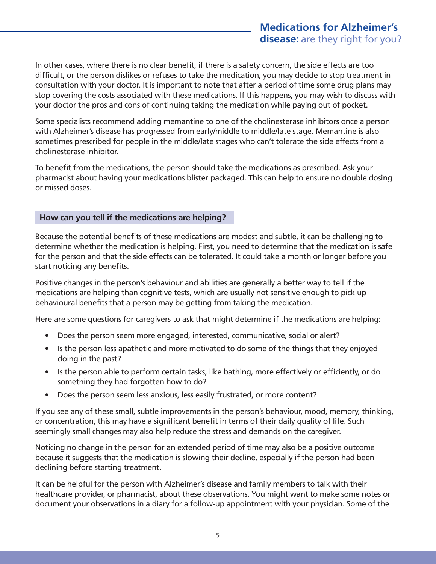In other cases, where there is no clear benefit, if there is a safety concern, the side effects are too difficult, or the person dislikes or refuses to take the medication, you may decide to stop treatment in consultation with your doctor. It is important to note that after a period of time some drug plans may stop covering the costs associated with these medications. If this happens, you may wish to discuss with your doctor the pros and cons of continuing taking the medication while paying out of pocket.

Some specialists recommend adding memantine to one of the cholinesterase inhibitors once a person with Alzheimer's disease has progressed from early/middle to middle/late stage. Memantine is also sometimes prescribed for people in the middle/late stages who can't tolerate the side effects from a cholinesterase inhibitor.

To benefit from the medications, the person should take the medications as prescribed. Ask your pharmacist about having your medications blister packaged. This can help to ensure no double dosing or missed doses.

# **How can you tell if the medications are helping?**

Because the potential benefits of these medications are modest and subtle, it can be challenging to determine whether the medication is helping. First, you need to determine that the medication is safe for the person and that the side effects can be tolerated. It could take a month or longer before you start noticing any benefits.

Positive changes in the person's behaviour and abilities are generally a better way to tell if the medications are helping than cognitive tests, which are usually not sensitive enough to pick up behavioural benefits that a person may be getting from taking the medication.

Here are some questions for caregivers to ask that might determine if the medications are helping:

- Does the person seem more engaged, interested, communicative, social or alert?
- Is the person less apathetic and more motivated to do some of the things that they enjoyed doing in the past?
- Is the person able to perform certain tasks, like bathing, more effectively or efficiently, or do something they had forgotten how to do?
- Does the person seem less anxious, less easily frustrated, or more content?

If you see any of these small, subtle improvements in the person's behaviour, mood, memory, thinking, or concentration, this may have a significant benefit in terms of their daily quality of life. Such seemingly small changes may also help reduce the stress and demands on the caregiver.

Noticing no change in the person for an extended period of time may also be a positive outcome because it suggests that the medication is slowing their decline, especially if the person had been declining before starting treatment.

It can be helpful for the person with Alzheimer's disease and family members to talk with their healthcare provider, or pharmacist, about these observations. You might want to make some notes or document your observations in a diary for a follow-up appointment with your physician. Some of the